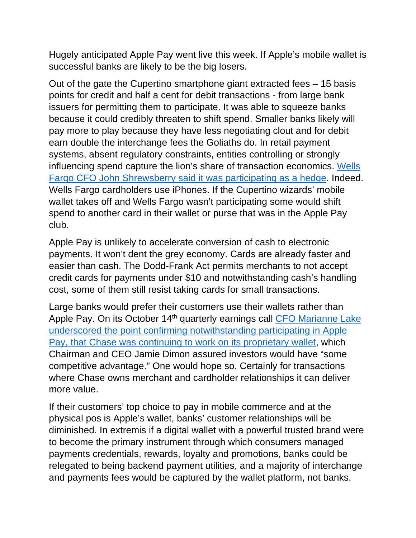Hugely anticipated Apple Pay went live this week. If Apple's mobile wallet is successful banks are likely to be the big losers.

Out of the gate the Cupertino smartphone giant extracted fees – 15 basis points for credit and half a cent for debit transactions - from large bank issuers for permitting them to participate. It was able to squeeze banks because it could credibly threaten to shift spend. Smaller banks likely will pay more to play because they have less negotiating clout and for debit earn double the interchange fees the Goliaths do. In retail payment systems, absent regulatory constraints, entities controlling or strongly influencing spend capture the lion's share of transaction economics. Wells Fargo CFO John Shrewsberry said it was participating as a hedge. Indeed. Wells Fargo cardholders use iPhones. If the Cupertino wizards' mobile wallet takes off and Wells Fargo wasn't participating some would shift spend to another card in their wallet or purse that was in the Apple Pay club.

Apple Pay is unlikely to accelerate conversion of cash to electronic payments. It won't dent the grey economy. Cards are already faster and easier than cash. The Dodd-Frank Act permits merchants to not accept credit cards for payments under \$10 and notwithstanding cash's handling cost, some of them still resist taking cards for small transactions.

Large banks would prefer their customers use their wallets rather than Apple Pay. On its October 14<sup>th</sup> quarterly earnings call CFO Marianne Lake underscored the point confirming notwithstanding participating in Apple Pay, that Chase was continuing to work on its proprietary wallet, which Chairman and CEO Jamie Dimon assured investors would have "some competitive advantage." One would hope so. Certainly for transactions where Chase owns merchant and cardholder relationships it can deliver more value.

If their customers' top choice to pay in mobile commerce and at the physical pos is Apple's wallet, banks' customer relationships will be diminished. In extremis if a digital wallet with a powerful trusted brand were to become the primary instrument through which consumers managed payments credentials, rewards, loyalty and promotions, banks could be relegated to being backend payment utilities, and a majority of interchange and payments fees would be captured by the wallet platform, not banks.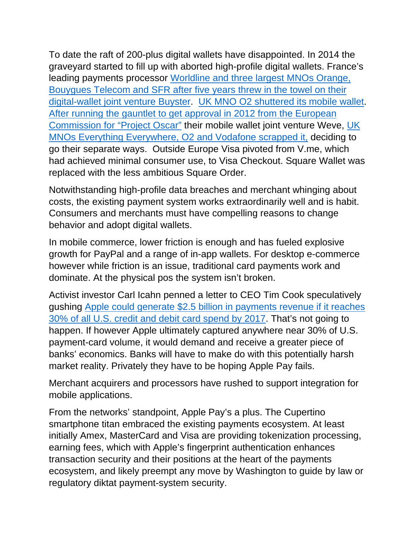To date the raft of 200-plus digital wallets have disappointed. In 2014 the graveyard started to fill up with aborted high-profile digital wallets. France's leading payments processor Worldline and three largest MNOs Orange, Bouygues Telecom and SFR after five years threw in the towel on their digital-wallet joint venture Buyster. UK MNO O2 shuttered its mobile wallet. After running the gauntlet to get approval in 2012 from the European Commission for "Project Oscar" their mobile wallet joint venture Weve, UK MNOs Everything Everywhere, O2 and Vodafone scrapped it, deciding to go their separate ways. Outside Europe Visa pivoted from V.me, which had achieved minimal consumer use, to Visa Checkout. Square Wallet was replaced with the less ambitious Square Order.

Notwithstanding high-profile data breaches and merchant whinging about costs, the existing payment system works extraordinarily well and is habit. Consumers and merchants must have compelling reasons to change behavior and adopt digital wallets.

In mobile commerce, lower friction is enough and has fueled explosive growth for PayPal and a range of in-app wallets. For desktop e-commerce however while friction is an issue, traditional card payments work and dominate. At the physical pos the system isn't broken.

Activist investor Carl Icahn penned a letter to CEO Tim Cook speculatively gushing Apple could generate \$2.5 billion in payments revenue if it reaches 30% of all U.S. credit and debit card spend by 2017. That's not going to happen. If however Apple ultimately captured anywhere near 30% of U.S. payment-card volume, it would demand and receive a greater piece of banks' economics. Banks will have to make do with this potentially harsh market reality. Privately they have to be hoping Apple Pay fails.

Merchant acquirers and processors have rushed to support integration for mobile applications.

From the networks' standpoint, Apple Pay's a plus. The Cupertino smartphone titan embraced the existing payments ecosystem. At least initially Amex, MasterCard and Visa are providing tokenization processing, earning fees, which with Apple's fingerprint authentication enhances transaction security and their positions at the heart of the payments ecosystem, and likely preempt any move by Washington to guide by law or regulatory diktat payment-system security.